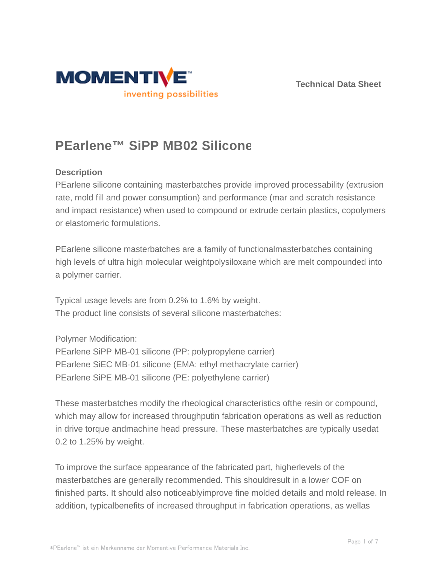



# **PEarlene™ SiPP MB02 Silicone**

### **Description**

PEarlene silicone containing masterbatches provide improved processability (extrusion rate, mold fill and power consumption) and performance (mar and scratch resistance and impact resistance) when used to compound or extrude certain plastics, copolymers or elastomeric formulations.

PEarlene silicone masterbatches are a family of functionalmasterbatches containing high levels of ultra high molecular weightpolysiloxane which are melt compounded into a polymer carrier.

Typical usage levels are from 0.2% to 1.6% by weight. The product line consists of several silicone masterbatches:

Polymer Modification:

PEarlene SiPP MB-01 silicone (PP: polypropylene carrier) PEarlene SiEC MB-01 silicone (EMA: ethyl methacrylate carrier) PEarlene SiPE MB-01 silicone (PE: polyethylene carrier)

These masterbatches modify the rheological characteristics ofthe resin or compound, which may allow for increased throughputin fabrication operations as well as reduction in drive torque andmachine head pressure. These masterbatches are typically usedat 0.2 to 1.25% by weight.

To improve the surface appearance of the fabricated part, higherlevels of the masterbatches are generally recommended. This shouldresult in a lower COF on finished parts. It should also noticeablyimprove fine molded details and mold release. In addition, typicalbenefits of increased throughput in fabrication operations, as wellas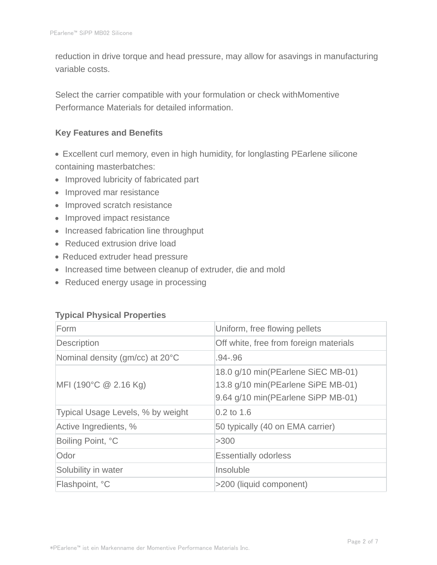reduction in drive torque and head pressure, may allow for asavings in manufacturing variable costs.

Select the carrier compatible with your formulation or check withMomentive Performance Materials for detailed information.

#### **Key Features and Benefits**

- Excellent curl memory, even in high humidity, for longlasting PEarlene silicone containing masterbatches:
- Improved lubricity of fabricated part
- Improved mar resistance
- Improved scratch resistance
- Improved impact resistance
- Increased fabrication line throughput
- Reduced extrusion drive load
- Reduced extruder head pressure
- Increased time between cleanup of extruder, die and mold
- Reduced energy usage in processing

#### **Typical Physical Properties**

| Form                              | Uniform, free flowing pellets                                                                                  |
|-----------------------------------|----------------------------------------------------------------------------------------------------------------|
| Description                       | Off white, free from foreign materials                                                                         |
| Nominal density (gm/cc) at 20°C   | .94-.96                                                                                                        |
| MFI (190°C $@$ 2.16 Kg)           | 18.0 g/10 min(PEarlene SiEC MB-01)<br>13.8 g/10 min(PEarlene SiPE MB-01)<br>9.64 g/10 min(PEarlene SiPP MB-01) |
| Typical Usage Levels, % by weight | $0.2$ to 1.6                                                                                                   |
| Active Ingredients, %             | 50 typically (40 on EMA carrier)                                                                               |
| Boiling Point, °C                 | >300                                                                                                           |
| Odor                              | <b>Essentially odorless</b>                                                                                    |
| Solubility in water               | Insoluble                                                                                                      |
| Flashpoint, °C                    | >200 (liquid component)                                                                                        |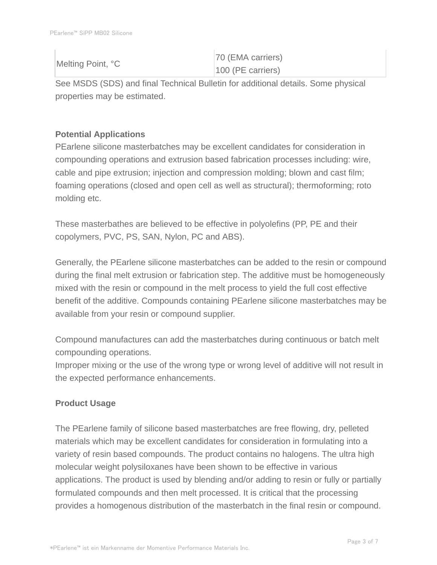| Melting Point, °C | 70 (EMA carriers)   |
|-------------------|---------------------|
|                   | $100$ (PE carriers) |

See MSDS (SDS) and final Technical Bulletin for additional details. Some physical properties may be estimated.

## **Potential Applications**

PEarlene silicone masterbatches may be excellent candidates for consideration in compounding operations and extrusion based fabrication processes including: wire, cable and pipe extrusion; injection and compression molding; blown and cast film; foaming operations (closed and open cell as well as structural); thermoforming; roto molding etc.

These masterbathes are believed to be effective in polyolefins (PP, PE and their copolymers, PVC, PS, SAN, Nylon, PC and ABS).

Generally, the PEarlene silicone masterbatches can be added to the resin or compound during the final melt extrusion or fabrication step. The additive must be homogeneously mixed with the resin or compound in the melt process to yield the full cost effective benefit of the additive. Compounds containing PEarlene silicone masterbatches may be available from your resin or compound supplier.

Compound manufactures can add the masterbatches during continuous or batch melt compounding operations.

Improper mixing or the use of the wrong type or wrong level of additive will not result in the expected performance enhancements.

## **Product Usage**

The PEarlene family of silicone based masterbatches are free flowing, dry, pelleted materials which may be excellent candidates for consideration in formulating into a variety of resin based compounds. The product contains no halogens. The ultra high molecular weight polysiloxanes have been shown to be effective in various applications. The product is used by blending and/or adding to resin or fully or partially formulated compounds and then melt processed. It is critical that the processing provides a homogenous distribution of the masterbatch in the final resin or compound.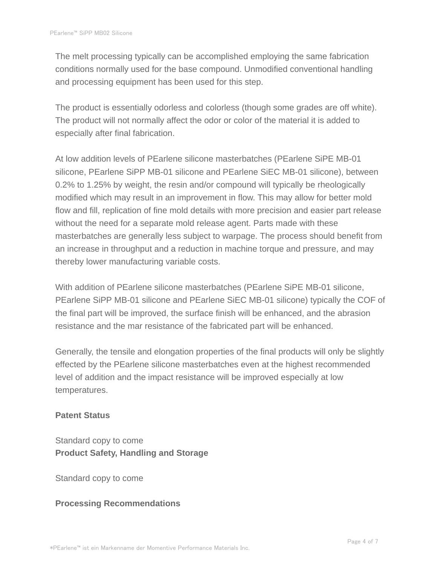The melt processing typically can be accomplished employing the same fabrication conditions normally used for the base compound. Unmodified conventional handling and processing equipment has been used for this step.

The product is essentially odorless and colorless (though some grades are off white). The product will not normally affect the odor or color of the material it is added to especially after final fabrication.

At low addition levels of PEarlene silicone masterbatches (PEarlene SiPE MB-01 silicone, PEarlene SiPP MB-01 silicone and PEarlene SiEC MB-01 silicone), between 0.2% to 1.25% by weight, the resin and/or compound will typically be rheologically modified which may result in an improvement in flow. This may allow for better mold flow and fill, replication of fine mold details with more precision and easier part release without the need for a separate mold release agent. Parts made with these masterbatches are generally less subject to warpage. The process should benefit from an increase in throughput and a reduction in machine torque and pressure, and may thereby lower manufacturing variable costs.

With addition of PEarlene silicone masterbatches (PEarlene SiPE MB-01 silicone, PEarlene SiPP MB-01 silicone and PEarlene SiEC MB-01 silicone) typically the COF of the final part will be improved, the surface finish will be enhanced, and the abrasion resistance and the mar resistance of the fabricated part will be enhanced.

Generally, the tensile and elongation properties of the final products will only be slightly effected by the PEarlene silicone masterbatches even at the highest recommended level of addition and the impact resistance will be improved especially at low temperatures.

#### **Patent Status**

Standard copy to come **Product Safety, Handling and Storage**

Standard copy to come

#### **Processing Recommendations**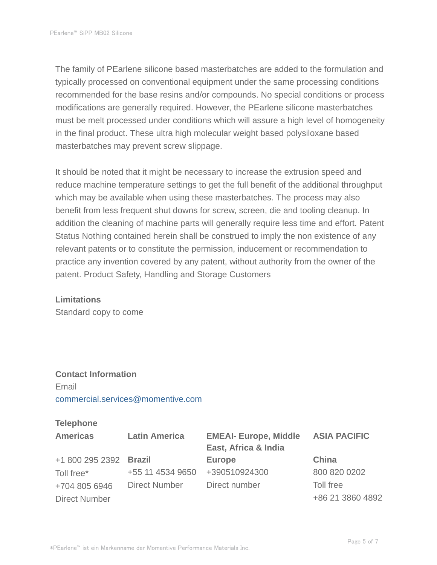The family of PEarlene silicone based masterbatches are added to the formulation and typically processed on conventional equipment under the same processing conditions recommended for the base resins and/or compounds. No special conditions or process modifications are generally required. However, the PEarlene silicone masterbatches must be melt processed under conditions which will assure a high level of homogeneity in the final product. These ultra high molecular weight based polysiloxane based masterbatches may prevent screw slippage.

It should be noted that it might be necessary to increase the extrusion speed and reduce machine temperature settings to get the full benefit of the additional throughput which may be available when using these masterbatches. The process may also benefit from less frequent shut downs for screw, screen, die and tooling cleanup. In addition the cleaning of machine parts will generally require less time and effort. Patent Status Nothing contained herein shall be construed to imply the non existence of any relevant patents or to constitute the permission, inducement or recommendation to practice any invention covered by any patent, without authority from the owner of the patent. Product Safety, Handling and Storage Customers

#### **Limitations**

Standard copy to come

# **Contact Information** Email commercial.services@momentive.com

#### **Telephone**

| <b>Americas</b>      | <b>Latin America</b> | <b>EMEAI- Europe, Middle</b><br>East, Africa & India | <b>ASIA PACIFIC</b> |
|----------------------|----------------------|------------------------------------------------------|---------------------|
| +1 800 295 2392      | Brazil               | <b>Europe</b>                                        | China               |
| Toll free*           | +55 11 4534 9650     | +390510924300                                        | 800 820 0202        |
| +704 805 6946        | <b>Direct Number</b> | Direct number                                        | Toll free           |
| <b>Direct Number</b> |                      |                                                      | +86 21 3860 4892    |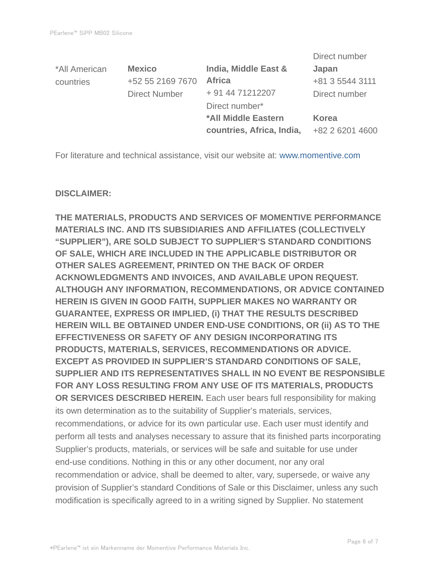|               |                      |                           | Direct number   |
|---------------|----------------------|---------------------------|-----------------|
| *All American | <b>Mexico</b>        | India, Middle East &      | Japan           |
| countries     | +52 55 2169 7670     | <b>Africa</b>             | +81 3 5544 3111 |
|               | <b>Direct Number</b> | + 91 44 71212207          | Direct number   |
|               |                      | Direct number*            |                 |
|               |                      | *All Middle Eastern       | <b>Korea</b>    |
|               |                      | countries, Africa, India, | +82 2 6201 4600 |

For literature and technical assistance, visit our website at: www.momentive.com

#### **DISCLAIMER:**

**THE MATERIALS, PRODUCTS AND SERVICES OF MOMENTIVE PERFORMANCE MATERIALS INC. AND ITS SUBSIDIARIES AND AFFILIATES (COLLECTIVELY "SUPPLIER"), ARE SOLD SUBJECT TO SUPPLIER'S STANDARD CONDITIONS OF SALE, WHICH ARE INCLUDED IN THE APPLICABLE DISTRIBUTOR OR OTHER SALES AGREEMENT, PRINTED ON THE BACK OF ORDER ACKNOWLEDGMENTS AND INVOICES, AND AVAILABLE UPON REQUEST. ALTHOUGH ANY INFORMATION, RECOMMENDATIONS, OR ADVICE CONTAINED HEREIN IS GIVEN IN GOOD FAITH, SUPPLIER MAKES NO WARRANTY OR GUARANTEE, EXPRESS OR IMPLIED, (i) THAT THE RESULTS DESCRIBED HEREIN WILL BE OBTAINED UNDER END-USE CONDITIONS, OR (ii) AS TO THE EFFECTIVENESS OR SAFETY OF ANY DESIGN INCORPORATING ITS PRODUCTS, MATERIALS, SERVICES, RECOMMENDATIONS OR ADVICE. EXCEPT AS PROVIDED IN SUPPLIER'S STANDARD CONDITIONS OF SALE, SUPPLIER AND ITS REPRESENTATIVES SHALL IN NO EVENT BE RESPONSIBLE FOR ANY LOSS RESULTING FROM ANY USE OF ITS MATERIALS, PRODUCTS OR SERVICES DESCRIBED HEREIN.** Each user bears full responsibility for making its own determination as to the suitability of Supplier's materials, services, recommendations, or advice for its own particular use. Each user must identify and perform all tests and analyses necessary to assure that its finished parts incorporating Supplier's products, materials, or services will be safe and suitable for use under end-use conditions. Nothing in this or any other document, nor any oral recommendation or advice, shall be deemed to alter, vary, supersede, or waive any provision of Supplier's standard Conditions of Sale or this Disclaimer, unless any such modification is specifically agreed to in a writing signed by Supplier. No statement